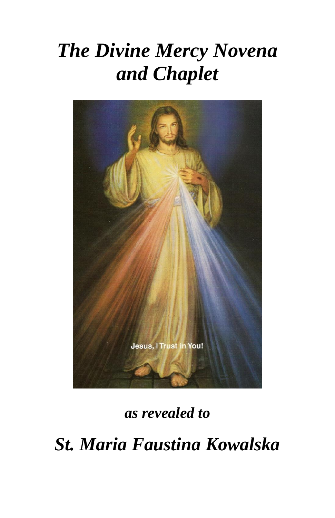# *The Divine Mercy Novena and Chaplet*



*as revealed to*

*St. Maria Faustina Kowalska*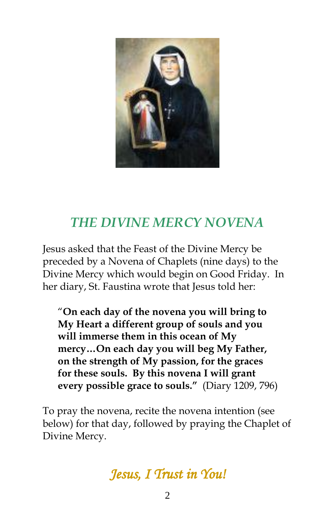

# *THE DIVINE MERCY NOVENA*

Jesus asked that the Feast of the Divine Mercy be preceded by a Novena of Chaplets (nine days) to the Divine Mercy which would begin on Good Friday. In her diary, St. Faustina wrote that Jesus told her:

"**On each day of the novena you will bring to My Heart a different group of souls and you will immerse them in this ocean of My mercy…On each day you will beg My Father, on the strength of My passion, for the graces for these souls. By this novena I will grant every possible grace to souls."** (Diary 1209, 796)

To pray the novena, recite the novena intention (see below) for that day, followed by praying the Chaplet of Divine Mercy.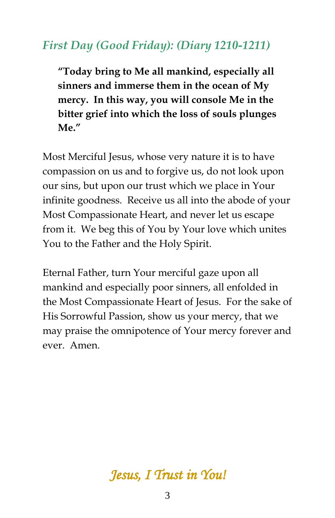#### *First Day (Good Friday): (Diary 1210-1211)*

**"Today bring to Me all mankind, especially all sinners and immerse them in the ocean of My mercy. In this way, you will console Me in the bitter grief into which the loss of souls plunges Me."**

Most Merciful Jesus, whose very nature it is to have compassion on us and to forgive us, do not look upon our sins, but upon our trust which we place in Your infinite goodness. Receive us all into the abode of your Most Compassionate Heart, and never let us escape from it. We beg this of You by Your love which unites You to the Father and the Holy Spirit.

Eternal Father, turn Your merciful gaze upon all mankind and especially poor sinners, all enfolded in the Most Compassionate Heart of Jesus. For the sake of His Sorrowful Passion, show us your mercy, that we may praise the omnipotence of Your mercy forever and ever. Amen.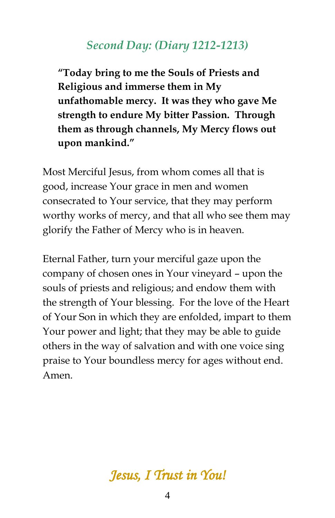#### *Second Day: (Diary 1212-1213)*

**"Today bring to me the Souls of Priests and Religious and immerse them in My unfathomable mercy. It was they who gave Me strength to endure My bitter Passion. Through them as through channels, My Mercy flows out upon mankind."** 

Most Merciful Jesus, from whom comes all that is good, increase Your grace in men and women consecrated to Your service, that they may perform worthy works of mercy, and that all who see them may glorify the Father of Mercy who is in heaven.

Eternal Father, turn your merciful gaze upon the company of chosen ones in Your vineyard – upon the souls of priests and religious; and endow them with the strength of Your blessing. For the love of the Heart of Your Son in which they are enfolded, impart to them Your power and light; that they may be able to guide others in the way of salvation and with one voice sing praise to Your boundless mercy for ages without end. Amen.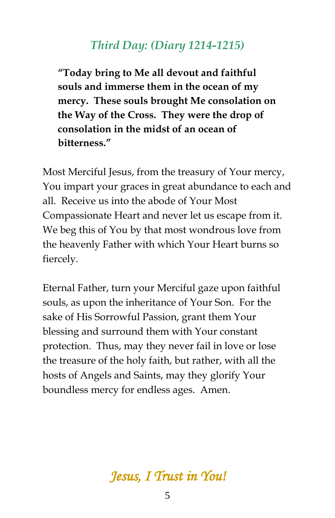#### *Third Day: (Diary 1214-1215)*

**"Today bring to Me all devout and faithful souls and immerse them in the ocean of my mercy. These souls brought Me consolation on the Way of the Cross. They were the drop of consolation in the midst of an ocean of bitterness."** 

Most Merciful Jesus, from the treasury of Your mercy, You impart your graces in great abundance to each and all. Receive us into the abode of Your Most Compassionate Heart and never let us escape from it. We beg this of You by that most wondrous love from the heavenly Father with which Your Heart burns so fiercely.

Eternal Father, turn your Merciful gaze upon faithful souls, as upon the inheritance of Your Son. For the sake of His Sorrowful Passion, grant them Your blessing and surround them with Your constant protection. Thus, may they never fail in love or lose the treasure of the holy faith, but rather, with all the hosts of Angels and Saints, may they glorify Your boundless mercy for endless ages. Amen.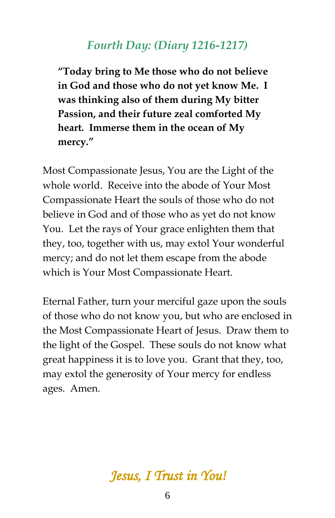#### *Fourth Day: (Diary 1216-1217)*

**"Today bring to Me those who do not believe in God and those who do not yet know Me. I was thinking also of them during My bitter Passion, and their future zeal comforted My heart. Immerse them in the ocean of My mercy."**

Most Compassionate Jesus, You are the Light of the whole world. Receive into the abode of Your Most Compassionate Heart the souls of those who do not believe in God and of those who as yet do not know You. Let the rays of Your grace enlighten them that they, too, together with us, may extol Your wonderful mercy; and do not let them escape from the abode which is Your Most Compassionate Heart.

Eternal Father, turn your merciful gaze upon the souls of those who do not know you, but who are enclosed in the Most Compassionate Heart of Jesus. Draw them to the light of the Gospel. These souls do not know what great happiness it is to love you. Grant that they, too, may extol the generosity of Your mercy for endless ages. Amen.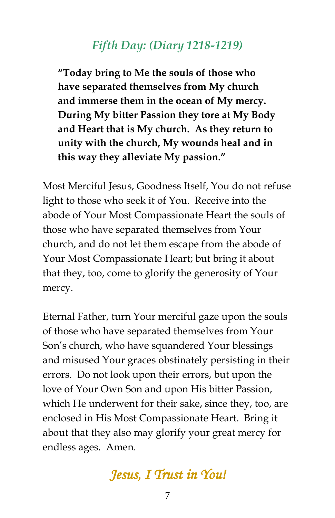## *Fifth Day: (Diary 1218-1219)*

**"Today bring to Me the souls of those who have separated themselves from My church and immerse them in the ocean of My mercy. During My bitter Passion they tore at My Body and Heart that is My church. As they return to unity with the church, My wounds heal and in this way they alleviate My passion."**

Most Merciful Jesus, Goodness Itself, You do not refuse light to those who seek it of You. Receive into the abode of Your Most Compassionate Heart the souls of those who have separated themselves from Your church, and do not let them escape from the abode of Your Most Compassionate Heart; but bring it about that they, too, come to glorify the generosity of Your mercy.

Eternal Father, turn Your merciful gaze upon the souls of those who have separated themselves from Your Son's church, who have squandered Your blessings and misused Your graces obstinately persisting in their errors. Do not look upon their errors, but upon the love of Your Own Son and upon His bitter Passion, which He underwent for their sake, since they, too, are enclosed in His Most Compassionate Heart. Bring it about that they also may glorify your great mercy for endless ages. Amen.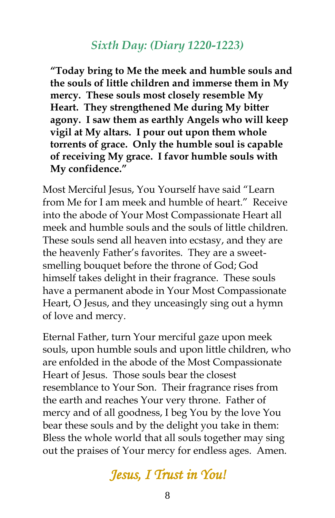#### *Sixth Day: (Diary 1220-1223)*

**"Today bring to Me the meek and humble souls and the souls of little children and immerse them in My mercy. These souls most closely resemble My Heart. They strengthened Me during My bitter agony. I saw them as earthly Angels who will keep vigil at My altars. I pour out upon them whole torrents of grace. Only the humble soul is capable of receiving My grace. I favor humble souls with My confidence."** 

Most Merciful Jesus, You Yourself have said "Learn from Me for I am meek and humble of heart." Receive into the abode of Your Most Compassionate Heart all meek and humble souls and the souls of little children. These souls send all heaven into ecstasy, and they are the heavenly Father's favorites. They are a sweetsmelling bouquet before the throne of God; God himself takes delight in their fragrance. These souls have a permanent abode in Your Most Compassionate Heart, O Jesus, and they unceasingly sing out a hymn of love and mercy.

Eternal Father, turn Your merciful gaze upon meek souls, upon humble souls and upon little children, who are enfolded in the abode of the Most Compassionate Heart of Jesus. Those souls bear the closest resemblance to Your Son. Their fragrance rises from the earth and reaches Your very throne. Father of mercy and of all goodness, I beg You by the love You bear these souls and by the delight you take in them: Bless the whole world that all souls together may sing out the praises of Your mercy for endless ages. Amen.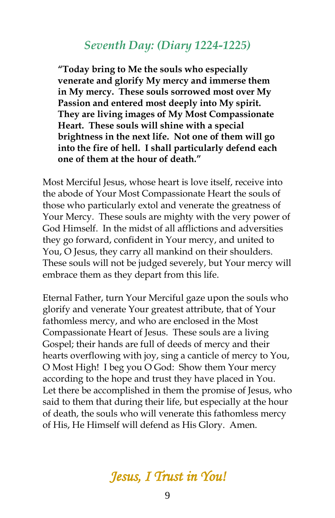#### *Seventh Day: (Diary 1224-1225)*

**"Today bring to Me the souls who especially venerate and glorify My mercy and immerse them in My mercy. These souls sorrowed most over My Passion and entered most deeply into My spirit. They are living images of My Most Compassionate Heart. These souls will shine with a special brightness in the next life. Not one of them will go into the fire of hell. I shall particularly defend each one of them at the hour of death."**

Most Merciful Jesus, whose heart is love itself, receive into the abode of Your Most Compassionate Heart the souls of those who particularly extol and venerate the greatness of Your Mercy. These souls are mighty with the very power of God Himself. In the midst of all afflictions and adversities they go forward, confident in Your mercy, and united to You, O Jesus, they carry all mankind on their shoulders. These souls will not be judged severely, but Your mercy will embrace them as they depart from this life.

Eternal Father, turn Your Merciful gaze upon the souls who glorify and venerate Your greatest attribute, that of Your fathomless mercy, and who are enclosed in the Most Compassionate Heart of Jesus. These souls are a living Gospel; their hands are full of deeds of mercy and their hearts overflowing with joy, sing a canticle of mercy to You, O Most High! I beg you O God: Show them Your mercy according to the hope and trust they have placed in You. Let there be accomplished in them the promise of Jesus, who said to them that during their life, but especially at the hour of death, the souls who will venerate this fathomless mercy of His, He Himself will defend as His Glory. Amen.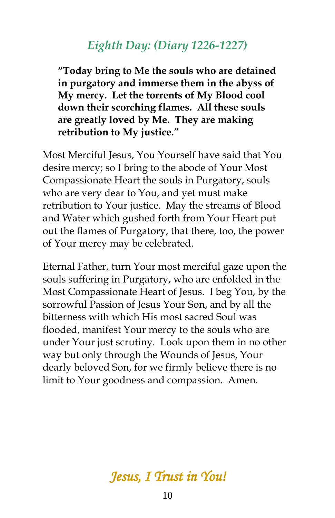#### *Eighth Day: (Diary 1226-1227)*

**"Today bring to Me the souls who are detained in purgatory and immerse them in the abyss of My mercy. Let the torrents of My Blood cool down their scorching flames. All these souls are greatly loved by Me. They are making retribution to My justice."**

Most Merciful Jesus, You Yourself have said that You desire mercy; so I bring to the abode of Your Most Compassionate Heart the souls in Purgatory, souls who are very dear to You, and yet must make retribution to Your justice. May the streams of Blood and Water which gushed forth from Your Heart put out the flames of Purgatory, that there, too, the power of Your mercy may be celebrated.

Eternal Father, turn Your most merciful gaze upon the souls suffering in Purgatory, who are enfolded in the Most Compassionate Heart of Jesus. I beg You, by the sorrowful Passion of Jesus Your Son, and by all the bitterness with which His most sacred Soul was flooded, manifest Your mercy to the souls who are under Your just scrutiny. Look upon them in no other way but only through the Wounds of Jesus, Your dearly beloved Son, for we firmly believe there is no limit to Your goodness and compassion. Amen.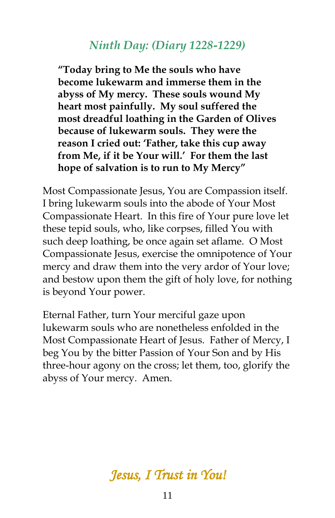#### *Ninth Day: (Diary 1228-1229)*

**"Today bring to Me the souls who have become lukewarm and immerse them in the abyss of My mercy. These souls wound My heart most painfully. My soul suffered the most dreadful loathing in the Garden of Olives because of lukewarm souls. They were the reason I cried out: 'Father, take this cup away from Me, if it be Your will.' For them the last hope of salvation is to run to My Mercy"** 

Most Compassionate Jesus, You are Compassion itself. I bring lukewarm souls into the abode of Your Most Compassionate Heart. In this fire of Your pure love let these tepid souls, who, like corpses, filled You with such deep loathing, be once again set aflame. O Most Compassionate Jesus, exercise the omnipotence of Your mercy and draw them into the very ardor of Your love; and bestow upon them the gift of holy love, for nothing is beyond Your power.

Eternal Father, turn Your merciful gaze upon lukewarm souls who are nonetheless enfolded in the Most Compassionate Heart of Jesus. Father of Mercy, I beg You by the bitter Passion of Your Son and by His three-hour agony on the cross; let them, too, glorify the abyss of Your mercy. Amen.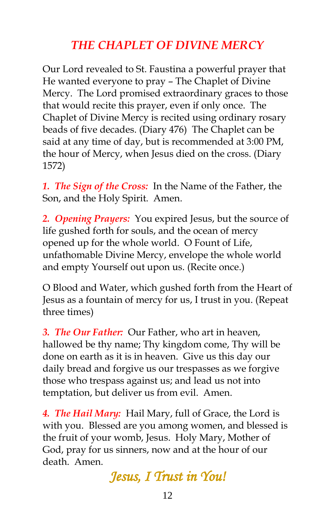## *THE CHAPLET OF DIVINE MERCY*

Our Lord revealed to St. Faustina a powerful prayer that He wanted everyone to pray – The Chaplet of Divine Mercy. The Lord promised extraordinary graces to those that would recite this prayer, even if only once. The Chaplet of Divine Mercy is recited using ordinary rosary beads of five decades. (Diary 476) The Chaplet can be said at any time of day, but is recommended at 3:00 PM, the hour of Mercy, when Jesus died on the cross. (Diary 1572)

*1. The Sign of the Cross:* In the Name of the Father, the Son, and the Holy Spirit. Amen.

*2. Opening Prayers:* You expired Jesus, but the source of life gushed forth for souls, and the ocean of mercy opened up for the whole world. O Fount of Life, unfathomable Divine Mercy, envelope the whole world and empty Yourself out upon us. (Recite once.)

O Blood and Water, which gushed forth from the Heart of Jesus as a fountain of mercy for us, I trust in you. (Repeat three times)

*3. The Our Father:* Our Father, who art in heaven, hallowed be thy name; Thy kingdom come, Thy will be done on earth as it is in heaven. Give us this day our daily bread and forgive us our trespasses as we forgive those who trespass against us; and lead us not into temptation, but deliver us from evil. Amen.

*4. The Hail Mary:* Hail Mary, full of Grace, the Lord is with you. Blessed are you among women, and blessed is the fruit of your womb, Jesus. Holy Mary, Mother of God, pray for us sinners, now and at the hour of our death. Amen.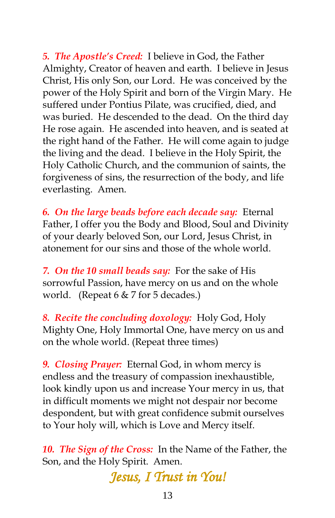*5. The Apostle's Creed:* I believe in God, the Father Almighty, Creator of heaven and earth. I believe in Jesus Christ, His only Son, our Lord. He was conceived by the power of the Holy Spirit and born of the Virgin Mary. He suffered under Pontius Pilate, was crucified, died, and was buried. He descended to the dead. On the third day He rose again. He ascended into heaven, and is seated at the right hand of the Father. He will come again to judge the living and the dead. I believe in the Holy Spirit, the Holy Catholic Church, and the communion of saints, the forgiveness of sins, the resurrection of the body, and life everlasting. Amen.

*6. On the large beads before each decade say:* Eternal Father, I offer you the Body and Blood, Soul and Divinity of your dearly beloved Son, our Lord, Jesus Christ, in atonement for our sins and those of the whole world.

*7. On the 10 small beads say:* For the sake of His sorrowful Passion, have mercy on us and on the whole world. (Repeat 6 & 7 for 5 decades.)

*8. Recite the concluding doxology:* Holy God, Holy Mighty One, Holy Immortal One, have mercy on us and on the whole world. (Repeat three times)

*9. Closing Prayer:* Eternal God, in whom mercy is endless and the treasury of compassion inexhaustible, look kindly upon us and increase Your mercy in us, that in difficult moments we might not despair nor become despondent, but with great confidence submit ourselves to Your holy will, which is Love and Mercy itself.

*10. The Sign of the Cross:* In the Name of the Father, the Son, and the Holy Spirit. Amen.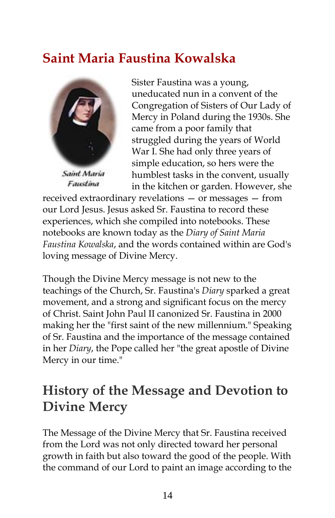# **Saint Maria Faustina Kowalska**



Saint Maria Faustina

Sister Faustina was a young, uneducated nun in a convent of the Congregation of Sisters of Our Lady of Mercy in Poland during the 1930s. She came from a poor family that struggled during the years of World War I. She had only three years of simple education, so hers were the humblest tasks in the convent, usually in the kitchen or garden. However, she

received extraordinary revelations — or messages — from our Lord Jesus. Jesus asked Sr. Faustina to record these experiences, which she compiled into notebooks. These notebooks are known today as the *Diary of Saint Maria Faustina Kowalska*, and the words contained within are God's loving message of Divine Mercy.

Though the Divine Mercy message is not new to the teachings of the Church, Sr. Faustina's *Diary* sparked a great movement, and a strong and significant focus on the mercy of Christ. Saint John Paul II canonized Sr. Faustina in 2000 making her the "first saint of the new millennium." Speaking of Sr. Faustina and the importance of the message contained in her *Diary*, the Pope called her "the great apostle of Divine Mercy in our time."

# **History of the Message and Devotion to Divine Mercy**

The Message of the Divine Mercy that Sr. Faustina received from the Lord was not only directed toward her personal growth in faith but also toward the good of the people. With the command of our Lord to paint an image according to the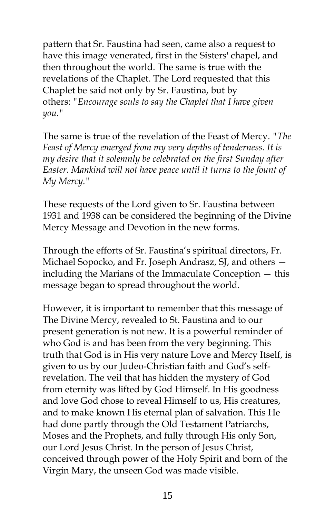pattern that Sr. Faustina had seen, came also a request to have this image venerated, first in the Sisters' chapel, and then throughout the world. The same is true with the revelations of the Chaplet. The Lord requested that this Chaplet be said not only by Sr. Faustina, but by others: *"Encourage souls to say the Chaplet that I have given you."*

The same is true of the revelation of the Feast of Mercy. *"The Feast of Mercy emerged from my very depths of tenderness. It is my desire that it solemnly be celebrated on the first Sunday after Easter. Mankind will not have peace until it turns to the fount of My Mercy."*

These requests of the Lord given to Sr. Faustina between 1931 and 1938 can be considered the beginning of the Divine Mercy Message and Devotion in the new forms.

Through the efforts of Sr. Faustina's spiritual directors, Fr. Michael Sopocko, and Fr. Joseph Andrasz, SJ, and others including the Marians of the Immaculate Conception — this message began to spread throughout the world.

However, it is important to remember that this message of The Divine Mercy, revealed to St. Faustina and to our present generation is not new. It is a powerful reminder of who God is and has been from the very beginning. This truth that God is in His very nature Love and Mercy Itself, is given to us by our Judeo-Christian faith and God's selfrevelation. The veil that has hidden the mystery of God from eternity was lifted by God Himself. In His goodness and love God chose to reveal Himself to us, His creatures, and to make known His eternal plan of salvation. This He had done partly through the Old Testament Patriarchs, Moses and the Prophets, and fully through His only Son, our Lord Jesus Christ. In the person of Jesus Christ, conceived through power of the Holy Spirit and born of the Virgin Mary, the unseen God was made visible.